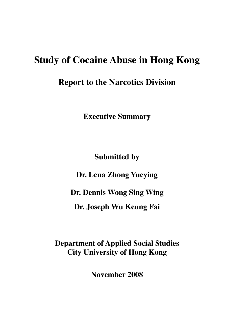# **Study of Cocaine Abuse in Hong Kong**

**Report to the Narcotics Division** 

**Executive Summary** 

**Submitted by** 

**Dr. Lena Zhong Yueying**

**Dr. Dennis Wong Sing Wing** 

**Dr. Joseph Wu Keung Fai** 

**Department of Applied Social Studies City University of Hong Kong** 

**November 2008**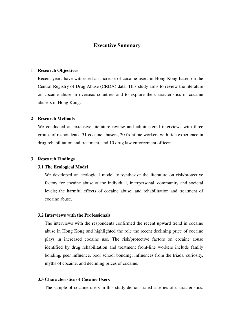# **Executive Summary**

## **1 Research Objectives**

Recent years have witnessed an increase of cocaine users in Hong Kong based on the Central Registry of Drug Abuse (CRDA) data. This study aims to review the literature on cocaine abuse in overseas countries and to explore the characteristics of cocaine abusers in Hong Kong.

## **2 Research Methods**

We conducted an extensive literature review and administered interviews with three groups of respondents: 31 cocaine abusers, 20 frontline workers with rich experience in drug rehabilitation and treatment, and 10 drug law enforcement officers.

#### **3 Research Findings**

#### **3.1 The Ecological Model**

 We developed an ecological model to synthesize the literature on risk/protective factors for cocaine abuse at the individual, interpersonal, community and societal levels; the harmful effects of cocaine abuse; and rehabilitation and treatment of cocaine abuse.

## **3.2 Interviews with the Professionals**

The interviews with the respondents confirmed the recent upward trend in cocaine abuse in Hong Kong and highlighted the role the recent declining price of cocaine plays in increased cocaine use. The risk/protective factors on cocaine abuse identified by drug rehabilitation and treatment front-line workers include family bonding, peer influence, poor school bonding, influences from the triads, curiosity, myths of cocaine, and declining prices of cocaine.

## **3.3 Characteristics of Cocaine Users**

The sample of cocaine users in this study demonstrated a series of characteristics.